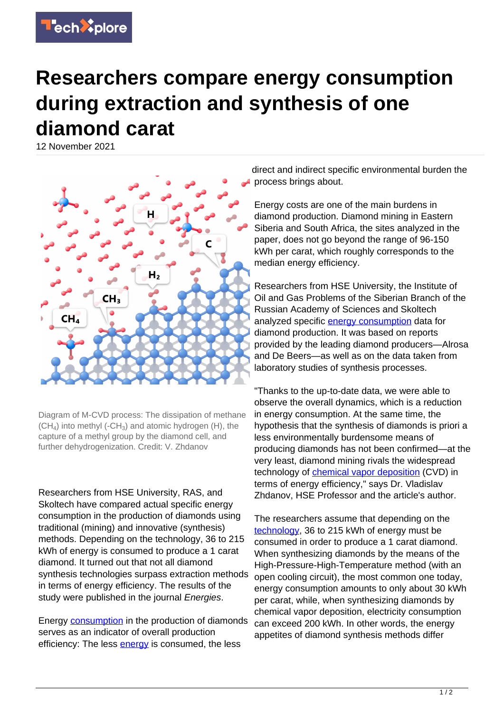## **Researchers compare energy consumption during extraction and synthesis of one diamond carat**

12 November 2021



Diagram of M-CVD process: The dissipation of methane  $(CH<sub>4</sub>)$  into methyl (-CH<sub>3</sub>) and atomic hydrogen (H), the capture of a methyl group by the diamond cell, and further dehydrogenization. Credit: V. Zhdanov

Researchers from HSE University, RAS, and Skoltech have compared actual specific energy consumption in the production of diamonds using traditional (mining) and innovative (synthesis) methods. Depending on the technology, 36 to 215 kWh of energy is consumed to produce a 1 carat diamond. It turned out that not all diamond synthesis technologies surpass extraction methods in terms of energy efficiency. The results of the study were published in the journal Energies.

Energy [consumption](https://techxplore.com/tags/consumption/) in the production of diamonds serves as an indicator of overall production efficiency: The less [energy](https://techxplore.com/tags/energy/) is consumed, the less

direct and indirect specific environmental burden the process brings about.

Energy costs are one of the main burdens in diamond production. Diamond mining in Eastern Siberia and South Africa, the sites analyzed in the paper, does not go beyond the range of 96-150 kWh per carat, which roughly corresponds to the median energy efficiency.

Researchers from HSE University, the Institute of Oil and Gas Problems of the Siberian Branch of the Russian Academy of Sciences and Skoltech analyzed specific **energy consumption** data for diamond production. It was based on reports provided by the leading diamond producers—Alrosa and De Beers—as well as on the data taken from laboratory studies of synthesis processes.

"Thanks to the up-to-date data, we were able to observe the overall dynamics, which is a reduction in energy consumption. At the same time, the hypothesis that the synthesis of diamonds is priori a less environmentally burdensome means of producing diamonds has not been confirmed—at the very least, diamond mining rivals the widespread technology of [chemical vapor deposition](https://techxplore.com/tags/chemical+vapor+deposition/) (CVD) in terms of energy efficiency," says Dr. Vladislav Zhdanov, HSE Professor and the article's author.

The researchers assume that depending on the [technology,](https://techxplore.com/tags/technology/) 36 to 215 kWh of energy must be consumed in order to produce a 1 carat diamond. When synthesizing diamonds by the means of the High-Pressure-High-Temperature method (with an open cooling circuit), the most common one today, energy consumption amounts to only about 30 kWh per carat, while, when synthesizing diamonds by chemical vapor deposition, electricity consumption can exceed 200 kWh. In other words, the energy appetites of diamond synthesis methods differ